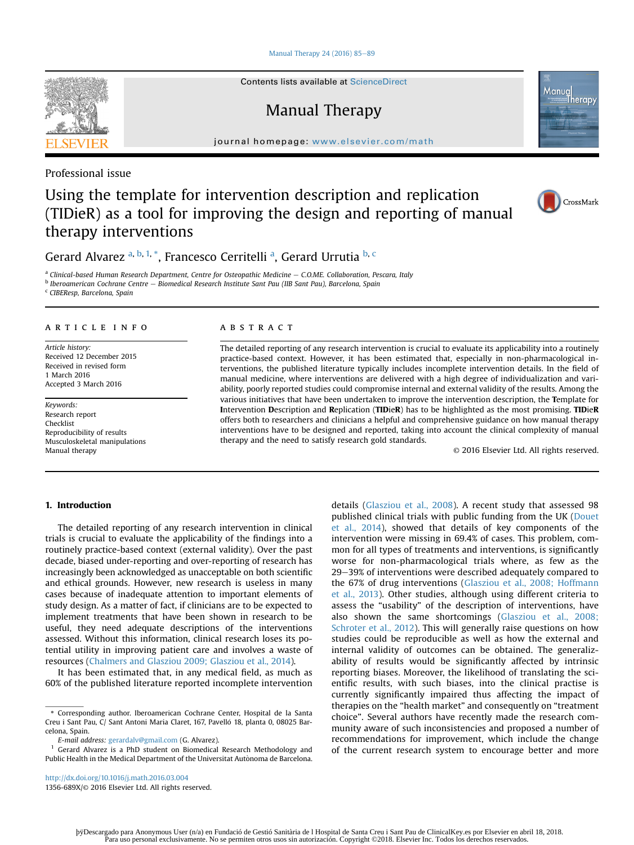#### [Manual Therapy 24 \(2016\) 85](http://dx.doi.org/10.1016/j.math.2016.03.004) $-89$  $-89$

Contents lists available at ScienceDirect

# Manual Therapy

journal homepage: [www.elsevier.com/math](http://www.elsevier.com/math)



## Professional issue

# Using the template for intervention description and replication (TIDieR) as a tool for improving the design and reporting of manual therapy interventions



Manual<br>Inerapy

Gerard Alvarez <sup>a, b, 1, \*</sup>, Francesco Cerritelli<sup>a</sup>, Gerard Urrutia <sup>b, c</sup>

 $a$  Clinical-based Human Research Department, Centre for Osteopathic Medicine  $-$  C.O.ME. Collaboration, Pescara, Italy

<sup>b</sup> Iberoamerican Cochrane Centre – Biomedical Research Institute Sant Pau (IIB Sant Pau), Barcelona, Spain

<sup>c</sup> CIBEResp, Barcelona, Spain

## article info

Article history: Received 12 December 2015 Received in revised form 1 March 2016 Accepted 3 March 2016

Keywords: Research report Checklist Reproducibility of results Musculoskeletal manipulations Manual therapy

### **ABSTRACT**

The detailed reporting of any research intervention is crucial to evaluate its applicability into a routinely practice-based context. However, it has been estimated that, especially in non-pharmacological interventions, the published literature typically includes incomplete intervention details. In the field of manual medicine, where interventions are delivered with a high degree of individualization and variability, poorly reported studies could compromise internal and external validity of the results. Among the various initiatives that have been undertaken to improve the intervention description, the Template for Intervention Description and Replication (TIDieR) has to be highlighted as the most promising. TIDieR offers both to researchers and clinicians a helpful and comprehensive guidance on how manual therapy interventions have to be designed and reported, taking into account the clinical complexity of manual therapy and the need to satisfy research gold standards.

© 2016 Elsevier Ltd. All rights reserved.

### 1. Introduction

The detailed reporting of any research intervention in clinical trials is crucial to evaluate the applicability of the findings into a routinely practice-based context (external validity). Over the past decade, biased under-reporting and over-reporting of research has increasingly been acknowledged as unacceptable on both scientific and ethical grounds. However, new research is useless in many cases because of inadequate attention to important elements of study design. As a matter of fact, if clinicians are to be expected to implement treatments that have been shown in research to be useful, they need adequate descriptions of the interventions assessed. Without this information, clinical research loses its potential utility in improving patient care and involves a waste of resources ([Chalmers and Glasziou 2009; Glasziou et al., 2014](#page-3-0)).

It has been estimated that, in any medical field, as much as 60% of the published literature reported incomplete intervention

<sup>1</sup> Gerard Alvarez is a PhD student on Biomedical Research Methodology and Public Health in the Medical Department of the Universitat Autonoma de Barcelona.

details ([Glasziou et al., 2008\)](#page-3-0). A recent study that assessed 98 published clinical trials with public funding from the UK [\(Douet](#page-3-0) [et al., 2014](#page-3-0)), showed that details of key components of the intervention were missing in 69.4% of cases. This problem, common for all types of treatments and interventions, is significantly worse for non-pharmacological trials where, as few as the 29–39% of interventions were described adequately compared to the 67% of drug interventions [\(Glasziou et al., 2008; Hoffmann](#page-3-0) [et al., 2013\)](#page-3-0). Other studies, although using different criteria to assess the "usability" of the description of interventions, have also shown the same shortcomings ([Glasziou et al., 2008;](#page-3-0) [Schroter et al., 2012](#page-3-0)). This will generally raise questions on how studies could be reproducible as well as how the external and internal validity of outcomes can be obtained. The generalizability of results would be significantly affected by intrinsic reporting biases. Moreover, the likelihood of translating the scientific results, with such biases, into the clinical practise is currently significantly impaired thus affecting the impact of therapies on the "health market" and consequently on "treatment choice". Several authors have recently made the research community aware of such inconsistencies and proposed a number of recommendations for improvement, which include the change of the current research system to encourage better and more

<sup>\*</sup> Corresponding author. Iberoamerican Cochrane Center, Hospital de la Santa Creu i Sant Pau, C/ Sant Antoni Maria Claret, 167, Pavelló 18, planta 0, 08025 Barcelona, Spain.

E-mail address: [gerardalv@gmail.com](mailto:gerardalv@gmail.com) (G. Alvarez).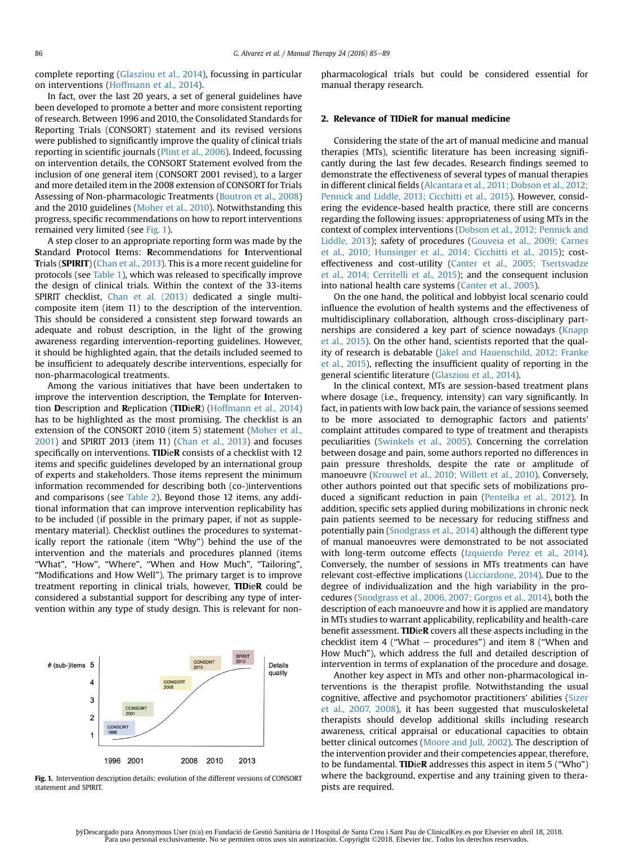complete reporting ([Glasziou et al., 2014](#page-3-0)), focussing in particular on interventions ([Hoffmann et al., 2014\)](#page-3-0).

In fact, over the last 20 years, a set of general guidelines have been developed to promote a better and more consistent reporting of research. Between 1996 and 2010, the Consolidated Standards for Reporting Trials (CONSORT) statement and its revised versions were published to significantly improve the quality of clinical trials reporting in scientific journals [\(Plint et al., 2006\)](#page-4-0). Indeed, focussing on intervention details, the CONSORT Statement evolved from the inclusion of one general item (CONSORT 2001 revised), to a larger and more detailed item in the 2008 extension of CONSORT for Trials Assessing of Non-pharmacologic Treatments [\(Boutron et al., 2008\)](#page-3-0) and the 2010 guidelines ([Moher et al., 2010](#page-3-0)). Notwithstanding this progress, specific recommendations on how to report interventions remained very limited (see Fig. 1).

A step closer to an appropriate reporting form was made by the Standard Protocol Items: Recommendations for Interventional Trials (SPIRIT) [\(Chan et al., 2013](#page-3-0)). This is a more recent guideline for protocols (see [Table 1\)](#page-2-0), which was released to specifically improve the design of clinical trials. Within the context of the 33-items SPIRIT checklist, [Chan et al. \(2013\)](#page-3-0) dedicated a single multicomposite item (item 11) to the description of the intervention. This should be considered a consistent step forward towards an adequate and robust description, in the light of the growing awareness regarding intervention-reporting guidelines. However, it should be highlighted again, that the details included seemed to be insufficient to adequately describe interventions, especially for non-pharmacological treatments.

Among the various initiatives that have been undertaken to improve the intervention description, the Template for Intervention Description and Replication (TIDieR) ([Hoffmann et al., 2014\)](#page-3-0) has to be highlighted as the most promising. The checklist is an extension of the CONSORT 2010 (item 5) statement ([Moher et al.,](#page-3-0) [2001\)](#page-3-0) and SPIRIT 2013 (item 11) ([Chan et al., 2013](#page-3-0)) and focuses specifically on interventions. TIDieR consists of a checklist with 12 items and specific guidelines developed by an international group of experts and stakeholders. Those items represent the minimum information recommended for describing both (co-)interventions and comparisons (see [Table 2\)](#page-2-0). Beyond those 12 items, any additional information that can improve intervention replicability has to be included (if possible in the primary paper, if not as supplementary material). Checklist outlines the procedures to systematically report the rationale (item "Why") behind the use of the intervention and the materials and procedures planned (items "What", "How", "Where", "When and How Much", "Tailoring", "Modifications and How Well"). The primary target is to improve treatment reporting in clinical trials, however, TIDieR could be considered a substantial support for describing any type of intervention within any type of study design. This is relevant for non-



Fig. 1. Intervention description details: evolution of the different versions of CONSORT statement and SPIRIT.

pharmacological trials but could be considered essential for manual therapy research.

### 2. Relevance of TIDieR for manual medicine

Considering the state of the art of manual medicine and manual therapies (MTs), scientific literature has been increasing significantly during the last few decades. Research findings seemed to demonstrate the effectiveness of several types of manual therapies in different clinical fields ([Alcantara et al., 2011; Dobson et al., 2012;](#page-3-0) [Pennick and Liddle, 2013; Cicchitti et al., 2015\)](#page-3-0). However, considering the evidence-based health practice, there still are concerns regarding the following issues: appropriateness of using MTs in the context of complex interventions [\(Dobson et al., 2012; Pennick and](#page-3-0) [Liddle, 2013](#page-3-0)); safety of procedures ([Gouveia et al., 2009; Carnes](#page-3-0) [et al., 2010; Hunsinger et al., 2014; Cicchitti et al., 2015\)](#page-3-0); costeffectiveness and cost-utility ([Canter et al., 2005; Tsertsvadze](#page-3-0) [et al., 2014; Cerritelli et al., 2015](#page-3-0)); and the consequent inclusion into national health care systems ([Canter et al., 2005](#page-3-0)).

On the one hand, the political and lobbyist local scenario could influence the evolution of health systems and the effectiveness of multidisciplinary collaboration, although cross-disciplinary part-nerships are considered a key part of science nowadays [\(Knapp](#page-3-0) [et al., 2015](#page-3-0)). On the other hand, scientists reported that the quality of research is debatable (Jäkel and Hauenschild, 2012; Franke [et al., 2015](#page-3-0)), reflecting the insufficient quality of reporting in the general scientific literature ([Glasziou et al., 2014](#page-3-0)).

In the clinical context, MTs are session-based treatment plans where dosage (i.e., frequency, intensity) can vary significantly. In fact, in patients with low back pain, the variance of sessions seemed to be more associated to demographic factors and patients' complaint attitudes compared to type of treatment and therapists peculiarities [\(Swinkels et al., 2005\)](#page-4-0). Concerning the correlation between dosage and pain, some authors reported no differences in pain pressure thresholds, despite the rate or amplitude of manoeuvre [\(Krouwel et al., 2010; Willett et al., 2010](#page-3-0)). Conversely, other authors pointed out that specific sets of mobilizations produced a significant reduction in pain ([Pentelka et al., 2012](#page-4-0)). In addition, specific sets applied during mobilizations in chronic neck pain patients seemed to be necessary for reducing stiffness and potentially pain [\(Snodgrass et al., 2014](#page-4-0)) although the different type of manual manoeuvres were demonstrated to be not associated with long-term outcome effects ([Izquierdo Perez et al., 2014\)](#page-3-0). Conversely, the number of sessions in MTs treatments can have relevant cost-effective implications [\(Licciardone, 2014\)](#page-3-0). Due to the degree of individualization and the high variability in the procedures [\(Snodgrass et al., 2006, 2007; Gorgos et al., 2014](#page-4-0)), both the description of each manoeuvre and how it is applied are mandatory in MTs studies to warrant applicability, replicability and health-care benefit assessment. TIDieR covers all these aspects including in the checklist item 4 ("What  $-$  procedures") and item 8 ("When and How Much"), which address the full and detailed description of intervention in terms of explanation of the procedure and dosage.

Another key aspect in MTs and other non-pharmacological interventions is the therapist profile. Notwithstanding the usual cognitive, affective and psychomotor practitioners' abilities [\(Sizer](#page-4-0) [et al., 2007, 2008\)](#page-4-0), it has been suggested that musculoskeletal therapists should develop additional skills including research awareness, critical appraisal or educational capacities to obtain better clinical outcomes ([Moore and Jull, 2002](#page-3-0)). The description of the intervention provider and their competencies appear, therefore, to be fundamental. TIDieR addresses this aspect in item 5 ("Who") where the background, expertise and any training given to therapists are required.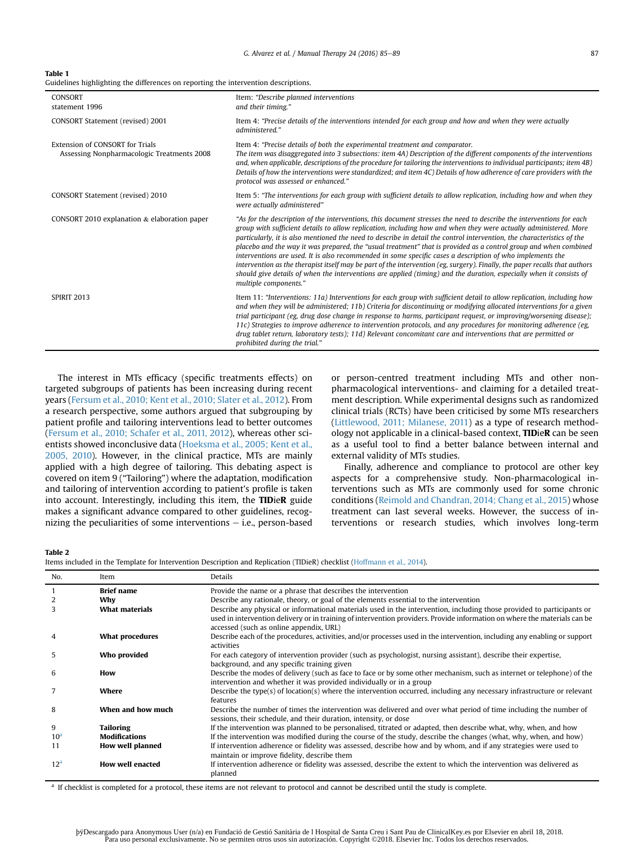G. Alvarez et al. / Manual Therapy 24 (2016) 85 $-89$  87

#### <span id="page-2-0"></span>Table 1

Guidelines highlighting the differences on reporting the intervention descriptions.

| <b>CONSORT</b><br>statement 1996                                              | Item: "Describe planned interventions<br>and their timing."                                                                                                                                                                                                                                                                                                                                                                                                                                                                                                                                                                                                                                                                                                                                                                                                                        |
|-------------------------------------------------------------------------------|------------------------------------------------------------------------------------------------------------------------------------------------------------------------------------------------------------------------------------------------------------------------------------------------------------------------------------------------------------------------------------------------------------------------------------------------------------------------------------------------------------------------------------------------------------------------------------------------------------------------------------------------------------------------------------------------------------------------------------------------------------------------------------------------------------------------------------------------------------------------------------|
| CONSORT Statement (revised) 2001                                              | Item 4: "Precise details of the interventions intended for each group and how and when they were actually<br>administered."                                                                                                                                                                                                                                                                                                                                                                                                                                                                                                                                                                                                                                                                                                                                                        |
| Extension of CONSORT for Trials<br>Assessing Nonpharmacologic Treatments 2008 | Item 4: "Precise details of both the experimental treatment and comparator.<br>The item was disaggregated into 3 subsections: item 4A) Description of the different components of the interventions<br>and, when applicable, descriptions of the procedure for tailoring the interventions to individual participants; item 4B)<br>Details of how the interventions were standardized; and item 4C) Details of how adherence of care providers with the<br>protocol was assessed or enhanced."                                                                                                                                                                                                                                                                                                                                                                                     |
| CONSORT Statement (revised) 2010                                              | Item 5: "The interventions for each group with sufficient details to allow replication, including how and when they<br>were actually administered"                                                                                                                                                                                                                                                                                                                                                                                                                                                                                                                                                                                                                                                                                                                                 |
| CONSORT 2010 explanation $&$ elaboration paper                                | "As for the description of the interventions, this document stresses the need to describe the interventions for each<br>group with sufficient details to allow replication, including how and when they were actually administered. More<br>particularly, it is also mentioned the need to describe in detail the control intervention, the characteristics of the<br>placebo and the way it was prepared, the "usual treatment" that is provided as a control group and when combined<br>interventions are used. It is also recommended in some specific cases a description of who implements the<br>intervention as the therapist itself may be part of the intervention (eg, surgery). Finally, the paper recalls that authors<br>should give details of when the interventions are applied (timing) and the duration, especially when it consists of<br>multiple components." |
| <b>SPIRIT 2013</b>                                                            | Item 11: "Interventions: 11a) Interventions for each group with sufficient detail to allow replication, including how<br>and when they will be administered; 11b) Criteria for discontinuing or modifying allocated interventions for a given<br>trial participant (eg, drug dose change in response to harms, participant request, or improving/worsening disease);<br>11c) Strategies to improve adherence to intervention protocols, and any procedures for monitoring adherence (eg,<br>drug tablet return, laboratory tests); 11d) Relevant concomitant care and interventions that are permitted or<br>prohibited during the trial."                                                                                                                                                                                                                                         |

The interest in MTs efficacy (specific treatments effects) on targeted subgroups of patients has been increasing during recent years [\(Fersum et al., 2010; Kent et al., 2010; Slater et al., 2012](#page-3-0)). From a research perspective, some authors argued that subgrouping by patient profile and tailoring interventions lead to better outcomes ([Fersum et al., 2010; Schafer et al., 2011, 2012\)](#page-3-0), whereas other scientists showed inconclusive data [\(Hoeksma et al., 2005; Kent et al.,](#page-3-0) [2005, 2010](#page-3-0)). However, in the clinical practice, MTs are mainly applied with a high degree of tailoring. This debating aspect is covered on item 9 ("Tailoring") where the adaptation, modification and tailoring of intervention according to patient's profile is taken into account. Interestingly, including this item, the TIDieR guide makes a significant advance compared to other guidelines, recognizing the peculiarities of some interventions  $-$  i.e., person-based or person-centred treatment including MTs and other nonpharmacological interventions- and claiming for a detailed treatment description. While experimental designs such as randomized clinical trials (RCTs) have been criticised by some MTs researchers ([Littlewood, 2011; Milanese, 2011](#page-3-0)) as a type of research methodology not applicable in a clinical-based context, TIDieR can be seen as a useful tool to find a better balance between internal and external validity of MTs studies.

Finally, adherence and compliance to protocol are other key aspects for a comprehensive study. Non-pharmacological interventions such as MTs are commonly used for some chronic conditions ([Reimold and Chandran, 2014; Chang et al., 2015](#page-4-0)) whose treatment can last several weeks. However, the success of interventions or research studies, which involves long-term

Table 2

|  | Items included in the Template for Intervention Description and Replication (TIDieR) checklist (Hoffmann et al., 2014). |  |  |  |  |
|--|-------------------------------------------------------------------------------------------------------------------------|--|--|--|--|
|--|-------------------------------------------------------------------------------------------------------------------------|--|--|--|--|

| No.             | Item                    | Details                                                                                                                                                                                                                                                                                        |
|-----------------|-------------------------|------------------------------------------------------------------------------------------------------------------------------------------------------------------------------------------------------------------------------------------------------------------------------------------------|
|                 | <b>Brief name</b>       | Provide the name or a phrase that describes the intervention                                                                                                                                                                                                                                   |
| 2               | Why                     | Describe any rationale, theory, or goal of the elements essential to the intervention                                                                                                                                                                                                          |
| 3               | <b>What materials</b>   | Describe any physical or informational materials used in the intervention, including those provided to participants or<br>used in intervention delivery or in training of intervention providers. Provide information on where the materials can be<br>accessed (such as online appendix, URL) |
| 4               | <b>What procedures</b>  | Describe each of the procedures, activities, and/or processes used in the intervention, including any enabling or support<br>activities                                                                                                                                                        |
| 5               | Who provided            | For each category of intervention provider (such as psychologist, nursing assistant), describe their expertise,<br>background, and any specific training given                                                                                                                                 |
| 6               | How                     | Describe the modes of delivery (such as face to face or by some other mechanism, such as internet or telephone) of the<br>intervention and whether it was provided individually or in a group                                                                                                  |
|                 | Where                   | Describe the type $(s)$ of location $(s)$ where the intervention occurred, including any necessary infrastructure or relevant<br>features                                                                                                                                                      |
| 8               | When and how much       | Describe the number of times the intervention was delivered and over what period of time including the number of<br>sessions, their schedule, and their duration, intensity, or dose                                                                                                           |
| 9               | <b>Tailoring</b>        | If the intervention was planned to be personalised, titrated or adapted, then describe what, why, when, and how                                                                                                                                                                                |
| 10 <sup>a</sup> | <b>Modifications</b>    | If the intervention was modified during the course of the study, describe the changes (what, why, when, and how)                                                                                                                                                                               |
| 11              | How well planned        | If intervention adherence or fidelity was assessed, describe how and by whom, and if any strategies were used to<br>maintain or improve fidelity, describe them                                                                                                                                |
| 12 <sup>a</sup> | <b>How well enacted</b> | If intervention adherence or fidelity was assessed, describe the extent to which the intervention was delivered as<br>planned                                                                                                                                                                  |

<sup>a</sup> If checklist is completed for a protocol, these items are not relevant to protocol and cannot be described until the study is complete.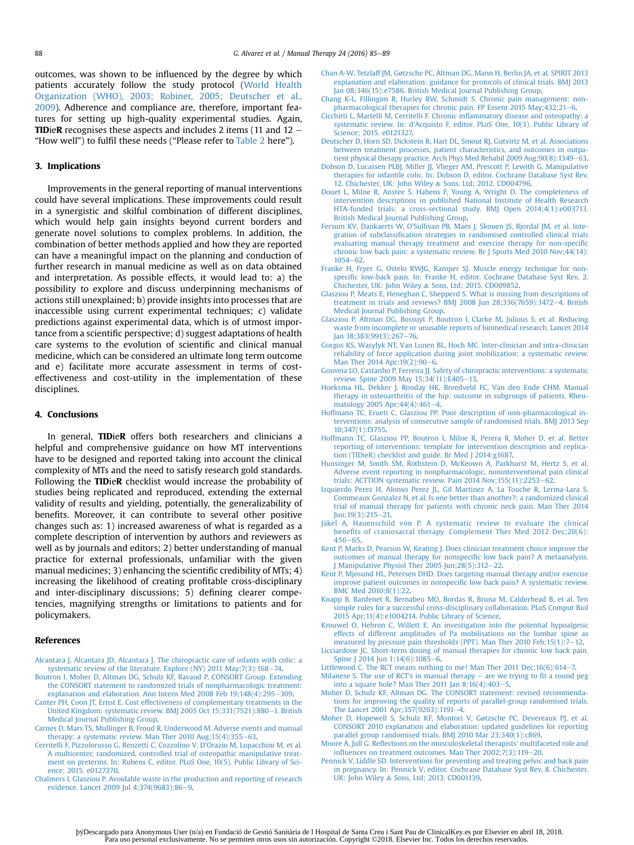<span id="page-3-0"></span>outcomes, was shown to be influenced by the degree by which patients accurately follow the study protocol [\(World Health](#page-4-0) [Organization \(WHO\), 2003; Robiner, 2005; Deutscher et al.,](#page-4-0) [2009](#page-4-0)). Adherence and compliance are, therefore, important features for setting up high-quality experimental studies. Again, **TIDieR** recognises these aspects and includes 2 items (11 and  $12 -$ "How well") to fulfil these needs ("Please refer to [Table 2](#page-2-0) here").

## 3. Implications

Improvements in the general reporting of manual interventions could have several implications. These improvements could result in a synergistic and skilful combination of different disciplines, which would help gain insights beyond current borders and generate novel solutions to complex problems. In addition, the combination of better methods applied and how they are reported can have a meaningful impact on the planning and conduction of further research in manual medicine as well as on data obtained and interpretation. As possible effects, it would lead to: a) the possibility to explore and discuss underpinning mechanisms of actions still unexplained; b) provide insights into processes that are inaccessible using current experimental techniques; c) validate predictions against experimental data, which is of utmost importance from a scientific perspective; d) suggest adaptations of health care systems to the evolution of scientific and clinical manual medicine, which can be considered an ultimate long term outcome and e) facilitate more accurate assessment in terms of costeffectiveness and cost-utility in the implementation of these disciplines.

#### 4. Conclusions

In general, TIDieR offers both researchers and clinicians a helpful and comprehensive guidance on how MT interventions have to be designed and reported taking into account the clinical complexity of MTs and the need to satisfy research gold standards. Following the TIDieR checklist would increase the probability of studies being replicated and reproduced, extending the external validity of results and yielding, potentially, the generalizability of benefits. Moreover, it can contribute to several other positive changes such as: 1) increased awareness of what is regarded as a complete description of intervention by authors and reviewers as well as by journals and editors; 2) better understanding of manual practice for external professionals, unfamiliar with the given manual medicines; 3) enhancing the scientific credibility of MTs; 4) increasing the likelihood of creating profitable cross-disciplinary and inter-disciplinary discussions; 5) defining clearer competencies, magnifying strengths or limitations to patients and for policymakers.

#### References

- [Alcantara J, Alcantara JD, Alcantara J. The chiropractic care of infants with colic: a](http://refhub.elsevier.com/S1356-689X(16)00033-3/sref1) systematic review of the literature. Explore (NY) 2011 May:  $7(3)$ :  $168-74$ .
- [Boutron I, Moher D, Altman DG, Schulz KF, Ravaud P, CONSORT Group. Extending](http://refhub.elsevier.com/S1356-689X(16)00033-3/sref2) [the CONSORT statement to randomized trials of nonpharmacologic treatment:](http://refhub.elsevier.com/S1356-689X(16)00033-3/sref2) [explanation and elaboration. Ann Intern Med 2008 Feb 19;148\(4\):295](http://refhub.elsevier.com/S1356-689X(16)00033-3/sref2)-[309.](http://refhub.elsevier.com/S1356-689X(16)00033-3/sref2)
- [Canter PH, Coon JT, Ernst E. Cost effectiveness of complementary treatments in the](http://refhub.elsevier.com/S1356-689X(16)00033-3/sref3) [United Kingdom: systematic review. BMJ 2005 Oct 15;331\(7521\):880](http://refhub.elsevier.com/S1356-689X(16)00033-3/sref3)-[1. British](http://refhub.elsevier.com/S1356-689X(16)00033-3/sref3) [Medical Journal Publishing Group.](http://refhub.elsevier.com/S1356-689X(16)00033-3/sref3)
- [Carnes D, Mars TS, Mullinger B, Froud R, Underwood M. Adverse events and manual](http://refhub.elsevier.com/S1356-689X(16)00033-3/sref4) therapy: a systematic review. Man Ther  $2010$  Aug;  $15(4)$ :  $355-63$ .
- [Cerritelli F, Pizzolorusso G, Renzetti C, Cozzolino V, D'Orazio M, Lupacchini M, et al.](http://refhub.elsevier.com/S1356-689X(16)00033-3/sref5) [A multicenter, randomized, controlled trial of osteopathic manipulative treat](http://refhub.elsevier.com/S1356-689X(16)00033-3/sref5)[ment on preterms. In: Rubens C, editor. PLoS One, 10\(5\). Public Library of Sci](http://refhub.elsevier.com/S1356-689X(16)00033-3/sref5)[ence; 2015. e0127370.](http://refhub.elsevier.com/S1356-689X(16)00033-3/sref5)
- [Chalmers I, Glasziou P. Avoidable waste in the production and reporting of research](http://refhub.elsevier.com/S1356-689X(16)00033-3/sref6) [evidence. Lancet 2009 Jul 4;374\(9683\):86](http://refhub.elsevier.com/S1356-689X(16)00033-3/sref6)-[9](http://refhub.elsevier.com/S1356-689X(16)00033-3/sref6).
- [Chan A-W, Tetzlaff JM, Gøtzsche PC, Altman DG, Mann H, Berlin JA, et al. SPIRIT 2013](http://refhub.elsevier.com/S1356-689X(16)00033-3/sref7) [explanation and elaboration: guidance for protocols of clinical trials. BMJ 2013](http://refhub.elsevier.com/S1356-689X(16)00033-3/sref7) [Jan 08;346\(15\):e7586. British Medical Journal Publishing Group](http://refhub.elsevier.com/S1356-689X(16)00033-3/sref7).
- [Chang K-L, Fillingim R, Hurley RW, Schmidt S. Chronic pain management: non](http://refhub.elsevier.com/S1356-689X(16)00033-3/sref8)pharmacological therapies for chronic pain. FP Essent 2015 May:  $432:21-6$ .
- [Cicchitti L, Martelli M, Cerritelli F. Chronic in](http://refhub.elsevier.com/S1356-689X(16)00033-3/sref9)flammatory disease and osteopathy: a [systematic review. In: d'Acquisto F, editor. PLoS One, 10\(3\). Public Library of](http://refhub.elsevier.com/S1356-689X(16)00033-3/sref9) [Science; 2015. e0121327.](http://refhub.elsevier.com/S1356-689X(16)00033-3/sref9)
- [Deutscher D, Horn SD, Dickstein R, Hart DL, Smout RJ, Gutvirtz M, et al. Associations](http://refhub.elsevier.com/S1356-689X(16)00033-3/sref10) [between treatment processes, patient characteristics, and outcomes in outpa-](http://refhub.elsevier.com/S1356-689X(16)00033-3/sref10)
- [tient physical therapy practice. Arch Phys Med Rehabil 2009 Aug;90\(8\):1349](http://refhub.elsevier.com/S1356-689X(16)00033-3/sref10)–[63](http://refhub.elsevier.com/S1356-689X(16)00033-3/sref10).<br>[Dobson D, Lucassen PLBJ, Miller JJ, Vlieger AM, Prescott P, Lewith G. Manipulative](http://refhub.elsevier.com/S1356-689X(16)00033-3/sref11) [therapies for infantile colic. In: Dobson D, editor. Cochrane Database Syst Rev,](http://refhub.elsevier.com/S1356-689X(16)00033-3/sref11) [12. Chichester, UK: John Wiley](http://refhub.elsevier.com/S1356-689X(16)00033-3/sref11) & [Sons, Ltd; 2012. CD004796](http://refhub.elsevier.com/S1356-689X(16)00033-3/sref11).
- [Douet L, Milne R, Anstee S, Habens F, Young A, Wright D. The completeness of](http://refhub.elsevier.com/S1356-689X(16)00033-3/sref12) [intervention descriptions in published National Institute of Health Research](http://refhub.elsevier.com/S1356-689X(16)00033-3/sref12) [HTA-funded trials: a cross-sectional study. BMJ Open 2014;4\(1\):e003713.](http://refhub.elsevier.com/S1356-689X(16)00033-3/sref12) [British Medical Journal Publishing Group.](http://refhub.elsevier.com/S1356-689X(16)00033-3/sref12)
- [Fersum KV, Dankaerts W, O'Sullivan PB, Maes J, Skouen JS, Bjordal JM, et al. Inte](http://refhub.elsevier.com/S1356-689X(16)00033-3/sref13)gration of subclassifi[cation strategies in randomised controlled clinical trials](http://refhub.elsevier.com/S1356-689X(16)00033-3/sref13) [evaluating manual therapy treatment and exercise therapy for non-speci](http://refhub.elsevier.com/S1356-689X(16)00033-3/sref13)fic [chronic low back pain: a systematic review. Br J Sports Med 2010 Nov;44\(14\):](http://refhub.elsevier.com/S1356-689X(16)00033-3/sref13)  $1054 - 62.$  $1054 - 62.$  $1054 - 62.$  $1054 - 62.$
- [Franke H, Fryer G, Ostelo RWJG, Kamper SJ. Muscle energy technique for non](http://refhub.elsevier.com/S1356-689X(16)00033-3/sref14)specifi[c low-back pain. In: Franke H, editor. Cochrane Database Syst Rev, 2.](http://refhub.elsevier.com/S1356-689X(16)00033-3/sref14) [Chichester, UK: John Wiley](http://refhub.elsevier.com/S1356-689X(16)00033-3/sref14) & [Sons, Ltd; 2015. CD009852](http://refhub.elsevier.com/S1356-689X(16)00033-3/sref14).
- [Glasziou P, Meats E, Heneghan C, Shepperd S. What is missing from descriptions of](http://refhub.elsevier.com/S1356-689X(16)00033-3/sref15)<br>[treatment in trials and reviews? BMJ 2008 Jun 28;336\(7659\):1472](http://refhub.elsevier.com/S1356-689X(16)00033-3/sref15)–[4. British](http://refhub.elsevier.com/S1356-689X(16)00033-3/sref15) [Medical Journal Publishing Group.](http://refhub.elsevier.com/S1356-689X(16)00033-3/sref15)
- [Glasziou P, Altman DG, Bossuyt P, Boutron I, Clarke M, Julious S, et al. Reducing](http://refhub.elsevier.com/S1356-689X(16)00033-3/sref16) [waste from incomplete or unusable reports of biomedical research. Lancet 2014](http://refhub.elsevier.com/S1356-689X(16)00033-3/sref16) Jan 18:383(9913):267-[76](http://refhub.elsevier.com/S1356-689X(16)00033-3/sref16).
- [Gorgos KS, Wasylyk NT, Van Lunen BL, Hoch MC. Inter-clinician and intra-clinician](http://refhub.elsevier.com/S1356-689X(16)00033-3/sref17) [reliability of force application during joint mobilization: a systematic review.](http://refhub.elsevier.com/S1356-689X(16)00033-3/sref17) Man Ther 2014 Apr; 19(2): 90-[6.](http://refhub.elsevier.com/S1356-689X(16)00033-3/sref17)
- [Gouveia LO, Castanho P, Ferreira JJ. Safety of chiropractic interventions: a systematic](http://refhub.elsevier.com/S1356-689X(16)00033-3/sref18) [review. Spine 2009 May 15;34\(11\):E405](http://refhub.elsevier.com/S1356-689X(16)00033-3/sref18)-[13.](http://refhub.elsevier.com/S1356-689X(16)00033-3/sref18)
- [Hoeksma HL, Dekker J, Ronday HK, Breedveld FC, Van den Ende CHM. Manual](http://refhub.elsevier.com/S1356-689X(16)00033-3/sref19) [therapy in osteoarthritis of the hip: outcome in subgroups of patients. Rheu-](http://refhub.elsevier.com/S1356-689X(16)00033-3/sref19)matology 2005 Apr; [4](http://refhub.elsevier.com/S1356-689X(16)00033-3/sref19)4(4): 461-4.
- [Hoffmann TC, Erueti C, Glasziou PP. Poor description of non-pharmacological in](http://refhub.elsevier.com/S1356-689X(16)00033-3/sref20)[terventions: analysis of consecutive sample of randomised trials. BMJ 2013 Sep](http://refhub.elsevier.com/S1356-689X(16)00033-3/sref20) [10;347\(1\):f3755](http://refhub.elsevier.com/S1356-689X(16)00033-3/sref20).
- [Hoffmann TC, Glasziou PP, Boutron I, Milne R, Perera R, Moher D, et al. Better](http://refhub.elsevier.com/S1356-689X(16)00033-3/sref21) [reporting of interventions: template for intervention description and replica](http://refhub.elsevier.com/S1356-689X(16)00033-3/sref21)[tion \(TIDieR\) checklist and guide. Br Med J 2014:g1687.](http://refhub.elsevier.com/S1356-689X(16)00033-3/sref21)
- [Hunsinger M, Smith SM, Rothstein D, McKeown A, Parkhurst M, Hertz S, et al.](http://refhub.elsevier.com/S1356-689X(16)00033-3/sref22) [Adverse event reporting in nonpharmacologic, noninterventional pain clinical](http://refhub.elsevier.com/S1356-689X(16)00033-3/sref22) [trials: ACTTION systematic review. Pain 2014 Nov;155\(11\):2253](http://refhub.elsevier.com/S1356-689X(16)00033-3/sref22)-[62.](http://refhub.elsevier.com/S1356-689X(16)00033-3/sref22)
- [Izquierdo Perez H, Alonso Perez JL, Gil Martinez A, La Touche R, Lerma-Lara S,](http://refhub.elsevier.com/S1356-689X(16)00033-3/sref23) [Commeaux Gonzalez N, et al. Is one better than another?: a randomized clinical](http://refhub.elsevier.com/S1356-689X(16)00033-3/sref23) [trial of manual therapy for patients with chronic neck pain. Man Ther 2014](http://refhub.elsevier.com/S1356-689X(16)00033-3/sref23) Jun;  $19(3)$ :  $215 - 21$ .
- Jäkel A, Hauenschild von P. A systematic review to evaluate the clinical benefi[ts of craniosacral therapy. Complement Ther Med 2012 Dec;20\(6\):](http://refhub.elsevier.com/S1356-689X(16)00033-3/sref24)  $456 - 65$  $456 - 65$
- [Kent P, Marks D, Pearson W, Keating J. Does clinician treatment choice improve the](http://refhub.elsevier.com/S1356-689X(16)00033-3/sref25) [outcomes of manual therapy for nonspeci](http://refhub.elsevier.com/S1356-689X(16)00033-3/sref25)fic low back pain? A metaanalysis. J Manipulative Physiol Ther 2005 Jun;  $28(5)$ : 312-[22.](http://refhub.elsevier.com/S1356-689X(16)00033-3/sref25)
- [Kent P, Mjosund HL, Petersen DHD. Does targeting manual therapy and/or exercise](http://refhub.elsevier.com/S1356-689X(16)00033-3/sref26) [improve patient outcomes in nonspeci](http://refhub.elsevier.com/S1356-689X(16)00033-3/sref26)fic low back pain? A systematic review. [BMC Med 2010;8\(1\):22.](http://refhub.elsevier.com/S1356-689X(16)00033-3/sref26)
- [Knapp B, Bardenet R, Bernabeu MO, Bordas R, Bruna M, Calderhead B, et al. Ten](http://refhub.elsevier.com/S1356-689X(16)00033-3/sref27) [simple rules for a successful cross-disciplinary collaboration. PLoS Comput Biol](http://refhub.elsevier.com/S1356-689X(16)00033-3/sref27) [2015 Apr;11\(4\):e1004214. Public Library of Science](http://refhub.elsevier.com/S1356-689X(16)00033-3/sref27).
- [Krouwel O, Hebron C, Willett E. An investigation into the potential hypoalgesic](http://refhub.elsevier.com/S1356-689X(16)00033-3/sref28) [effects of different amplitudes of Pa mobilisations on the lumbar spine as](http://refhub.elsevier.com/S1356-689X(16)00033-3/sref28) measured by pressure pain thresholds (PPT). Man Ther 2010 Feb;  $15(1)$ :  $7-12$ .
- [Licciardone JC. Short-term dosing of manual therapies for chronic low back pain.](http://refhub.elsevier.com/S1356-689X(16)00033-3/sref29) [Spine J 2014 Jun 1;14\(6\):1085](http://refhub.elsevier.com/S1356-689X(16)00033-3/sref29)-[6.](http://refhub.elsevier.com/S1356-689X(16)00033-3/sref29)
- Littlewood C. The RCT means nothing to me! Man Ther  $2011$  Dec;  $16(6)$ :  $614-7$ . [Milanese S. The use of RCT's in manual therapy](http://refhub.elsevier.com/S1356-689X(16)00033-3/sref31)  $-$  [are we trying to](http://refhub.elsevier.com/S1356-689X(16)00033-3/sref31) fit a round peg into a square hole? Man Ther 2011 Jan  $8,16(4):403-5$ .
- [Moher D, Schulz KF, Altman DG. The CONSORT statement: revised recommenda](http://refhub.elsevier.com/S1356-689X(16)00033-3/sref32)[tions for improving the quality of reports of parallel-group randomised trials.](http://refhub.elsevier.com/S1356-689X(16)00033-3/sref32) [The Lancet 2001 Apr;357\(9263\):1191](http://refhub.elsevier.com/S1356-689X(16)00033-3/sref32)-[4](http://refhub.elsevier.com/S1356-689X(16)00033-3/sref32).
- [Moher D, Hopewell S, Schulz KF, Montori V, G](http://refhub.elsevier.com/S1356-689X(16)00033-3/sref33)ø[tzsche PC, Devereaux PJ, et al.](http://refhub.elsevier.com/S1356-689X(16)00033-3/sref33) [CONSORT 2010 explanation and elaboration: updated guidelines for reporting](http://refhub.elsevier.com/S1356-689X(16)00033-3/sref33) [parallel group randomised trials. BMJ 2010 Mar 23;340\(1\):c869.](http://refhub.elsevier.com/S1356-689X(16)00033-3/sref33)
- Moore A, Jull G. Refl[ections on the musculoskeletal therapists' multifaceted role and](http://refhub.elsevier.com/S1356-689X(16)00033-3/sref34) influences on treatment outcomes. Man Ther  $2002;7(3):119-20$ .
- [Pennick V, Liddle SD. Interventions for preventing and treating pelvic and back pain](http://refhub.elsevier.com/S1356-689X(16)00033-3/sref35) [in pregnancy. In: Pennick V, editor. Cochrane Database Syst Rev, 8. Chichester,](http://refhub.elsevier.com/S1356-689X(16)00033-3/sref35) [UK: John Wiley](http://refhub.elsevier.com/S1356-689X(16)00033-3/sref35) & [Sons, Ltd; 2013. CD001139.](http://refhub.elsevier.com/S1356-689X(16)00033-3/sref35)